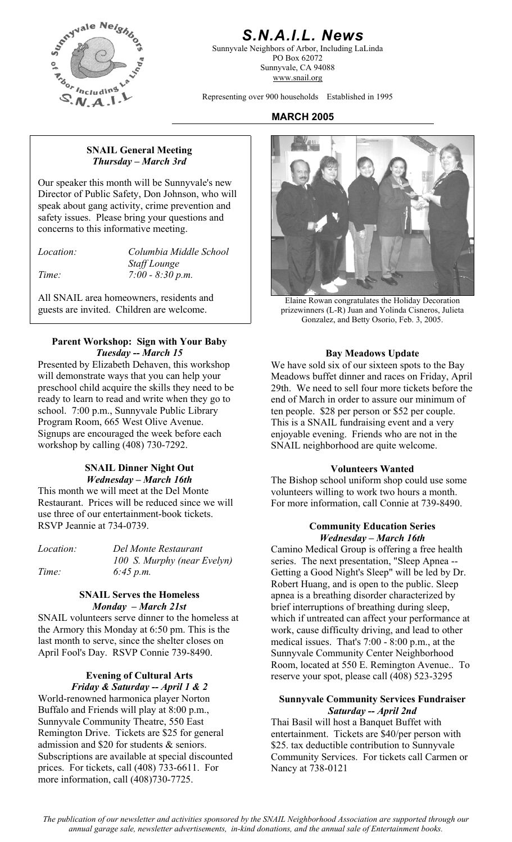

### *S.N.A.I.L. News*

Sunnyvale Neighbors of Arbor, Including LaLinda PO Box 62072 Sunnyvale, CA 94088 www.snail.org

Representing over 900 households Established in 1995

### **MARCH 2005**

### **SNAIL General Meeting**  *Thursday – March 3rd*

Our speaker this month will be Sunnyvale's new Director of Public Safety, Don Johnson, who will speak about gang activity, crime prevention and safety issues. Please bring your questions and concerns to this informative meeting.

| <i>Location:</i> | $\mathcal{C}$ |
|------------------|---------------|
|                  | St            |
|                  |               |

*Location: Columbia Middle School Staff Lounge Time: 7:00 - 8:30 p.m.* 

All SNAIL area homeowners, residents and guests are invited. Children are welcome.

### **Parent Workshop: Sign with Your Baby Tuesday -- March 15 Bay Meadows Update**

Presented by Elizabeth Dehaven, this workshop will demonstrate ways that you can help your preschool child acquire the skills they need to be ready to learn to read and write when they go to school. 7:00 p.m., Sunnyvale Public Library Program Room, 665 West Olive Avenue. Signups are encouraged the week before each workshop by calling (408) 730-7292.

### **SNAIL Dinner Night Out**  *Wednesday – March 16th*

This month we will meet at the Del Monte Restaurant. Prices will be reduced since we will use three of our entertainment-book tickets. RSVP Jeannie at 734-0739. **Community Education Series** 

*100 S. Murphy (near Evelyn) Time: 6:45 p.m.* 

### **SNAIL Serves the Homeless**  *Monday – March 21st*

SNAIL volunteers serve dinner to the homeless at the Armory this Monday at 6:50 pm. This is the last month to serve, since the shelter closes on April Fool's Day. RSVP Connie 739-8490. Sunnyvale Community Center Neighborhood

# *Friday & Saturday -- April 1 & 2*

World-renowned harmonica player Norton Buffalo and Friends will play at 8:00 p.m., Sunnyvale Community Theatre, 550 East Remington Drive. Tickets are \$25 for general admission and \$20 for students & seniors. Subscriptions are available at special discounted prices. For tickets, call (408) 733-6611. For more information, call (408)730-7725.



Elaine Rowan congratulates the Holiday Decoration prizewinners (L-R) Juan and Yolinda Cisneros, Julieta Gonzalez, and Betty Osorio, Feb. 3, 2005.

We have sold six of our sixteen spots to the Bay Meadows buffet dinner and races on Friday, April 29th. We need to sell four more tickets before the end of March in order to assure our minimum of ten people. \$28 per person or \$52 per couple. This is a SNAIL fundraising event and a very enjoyable evening. Friends who are not in the SNAIL neighborhood are quite welcome.

### **Volunteers Wanted**

The Bishop school uniform shop could use some volunteers willing to work two hours a month. For more information, call Connie at 739-8490.

# *Wednesday – March 16th*

*Location: Del Monte Restaurant* **Camino Medical Group is offering a free health** series. The next presentation, "Sleep Apnea -- Getting a Good Night's Sleep" will be led by Dr. Robert Huang, and is open to the public. Sleep apnea is a breathing disorder characterized by brief interruptions of breathing during sleep, which if untreated can affect your performance at work, cause difficulty driving, and lead to other medical issues. That's 7:00 - 8:00 p.m., at the Room, located at 550 E. Remington Avenue.. To **Evening of Cultural Arts** reserve your spot, please call (408) 523-3295

### **Sunnyvale Community Services Fundraiser**  *Saturday -- April 2nd*

Thai Basil will host a Banquet Buffet with entertainment. Tickets are \$40/per person with \$25. tax deductible contribution to Sunnyvale Community Services. For tickets call Carmen or Nancy at 738-0121

*The publication of our newsletter and activities sponsored by the SNAIL Neighborhood Association are supported through our annual garage sale, newsletter advertisements, in-kind donations, and the annual sale of Entertainment books.*